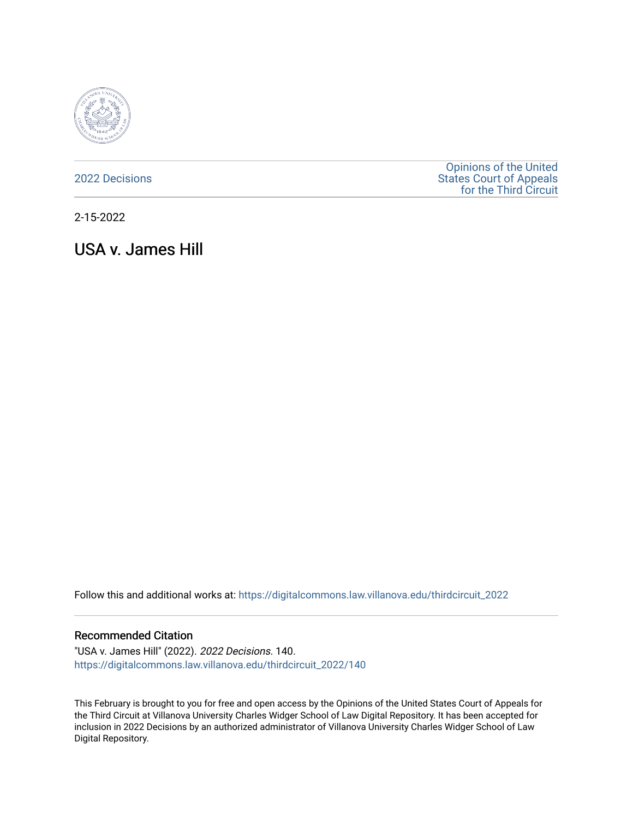

[2022 Decisions](https://digitalcommons.law.villanova.edu/thirdcircuit_2022)

[Opinions of the United](https://digitalcommons.law.villanova.edu/thirdcircuit)  [States Court of Appeals](https://digitalcommons.law.villanova.edu/thirdcircuit)  [for the Third Circuit](https://digitalcommons.law.villanova.edu/thirdcircuit) 

2-15-2022

USA v. James Hill

Follow this and additional works at: [https://digitalcommons.law.villanova.edu/thirdcircuit\\_2022](https://digitalcommons.law.villanova.edu/thirdcircuit_2022?utm_source=digitalcommons.law.villanova.edu%2Fthirdcircuit_2022%2F140&utm_medium=PDF&utm_campaign=PDFCoverPages) 

#### Recommended Citation

"USA v. James Hill" (2022). 2022 Decisions. 140. [https://digitalcommons.law.villanova.edu/thirdcircuit\\_2022/140](https://digitalcommons.law.villanova.edu/thirdcircuit_2022/140?utm_source=digitalcommons.law.villanova.edu%2Fthirdcircuit_2022%2F140&utm_medium=PDF&utm_campaign=PDFCoverPages)

This February is brought to you for free and open access by the Opinions of the United States Court of Appeals for the Third Circuit at Villanova University Charles Widger School of Law Digital Repository. It has been accepted for inclusion in 2022 Decisions by an authorized administrator of Villanova University Charles Widger School of Law Digital Repository.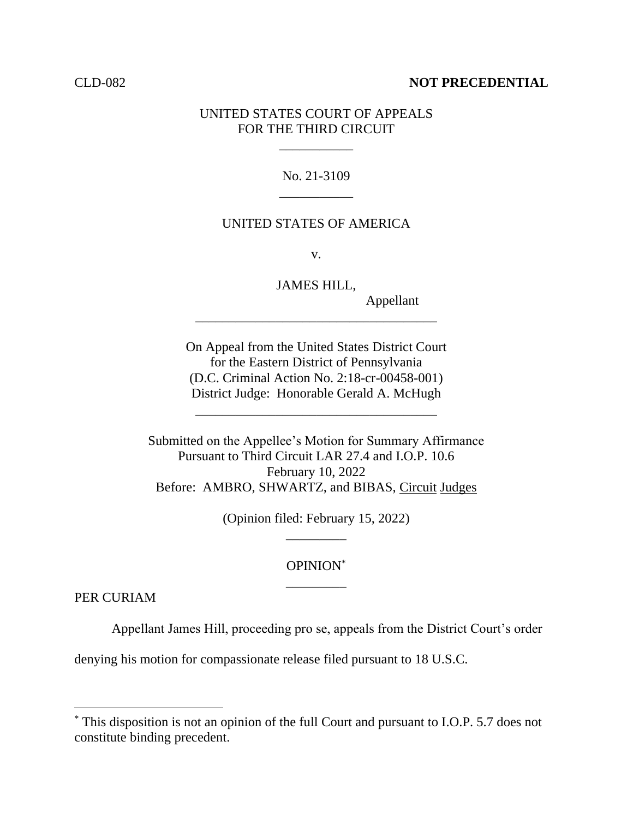#### CLD-082 **NOT PRECEDENTIAL**

## UNITED STATES COURT OF APPEALS FOR THE THIRD CIRCUIT

\_\_\_\_\_\_\_\_\_\_\_

# No. 21-3109 \_\_\_\_\_\_\_\_\_\_\_

## UNITED STATES OF AMERICA

v.

JAMES HILL,

\_\_\_\_\_\_\_\_\_\_\_\_\_\_\_\_\_\_\_\_\_\_\_\_\_\_\_\_\_\_\_\_\_\_\_\_

Appellant

On Appeal from the United States District Court for the Eastern District of Pennsylvania (D.C. Criminal Action No. 2:18-cr-00458-001) District Judge: Honorable Gerald A. McHugh

\_\_\_\_\_\_\_\_\_\_\_\_\_\_\_\_\_\_\_\_\_\_\_\_\_\_\_\_\_\_\_\_\_\_\_\_

Submitted on the Appellee's Motion for Summary Affirmance Pursuant to Third Circuit LAR 27.4 and I.O.P. 10.6 February 10, 2022 Before: AMBRO, SHWARTZ, and BIBAS, Circuit Judges

> (Opinion filed: February 15, 2022) \_\_\_\_\_\_\_\_\_

# OPINION\* \_\_\_\_\_\_\_\_\_

PER CURIAM

Appellant James Hill, proceeding pro se, appeals from the District Court's order

denying his motion for compassionate release filed pursuant to 18 U.S.C.

<sup>\*</sup> This disposition is not an opinion of the full Court and pursuant to I.O.P. 5.7 does not constitute binding precedent.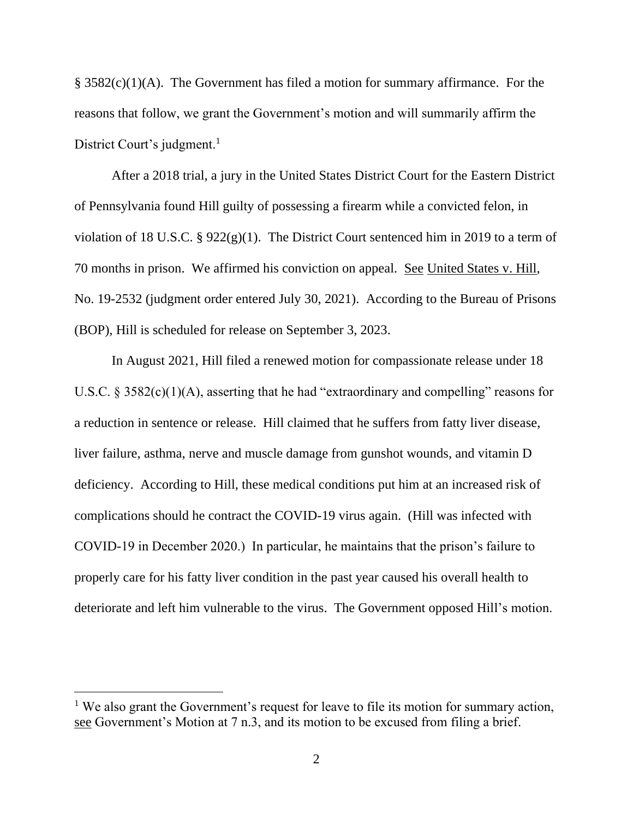$\S$  3582(c)(1)(A). The Government has filed a motion for summary affirmance. For the reasons that follow, we grant the Government's motion and will summarily affirm the District Court's judgment.<sup>1</sup>

After a 2018 trial, a jury in the United States District Court for the Eastern District of Pennsylvania found Hill guilty of possessing a firearm while a convicted felon, in violation of 18 U.S.C.  $\S 922(g)(1)$ . The District Court sentenced him in 2019 to a term of 70 months in prison. We affirmed his conviction on appeal. See United States v. Hill, No. 19-2532 (judgment order entered July 30, 2021). According to the Bureau of Prisons (BOP), Hill is scheduled for release on September 3, 2023.

In August 2021, Hill filed a renewed motion for compassionate release under 18 U.S.C.  $\S 3582(c)(1)(A)$ , asserting that he had "extraordinary and compelling" reasons for a reduction in sentence or release. Hill claimed that he suffers from fatty liver disease, liver failure, asthma, nerve and muscle damage from gunshot wounds, and vitamin D deficiency. According to Hill, these medical conditions put him at an increased risk of complications should he contract the COVID-19 virus again. (Hill was infected with COVID-19 in December 2020.) In particular, he maintains that the prison's failure to properly care for his fatty liver condition in the past year caused his overall health to deteriorate and left him vulnerable to the virus. The Government opposed Hill's motion.

<sup>&</sup>lt;sup>1</sup> We also grant the Government's request for leave to file its motion for summary action, see Government's Motion at 7 n.3, and its motion to be excused from filing a brief.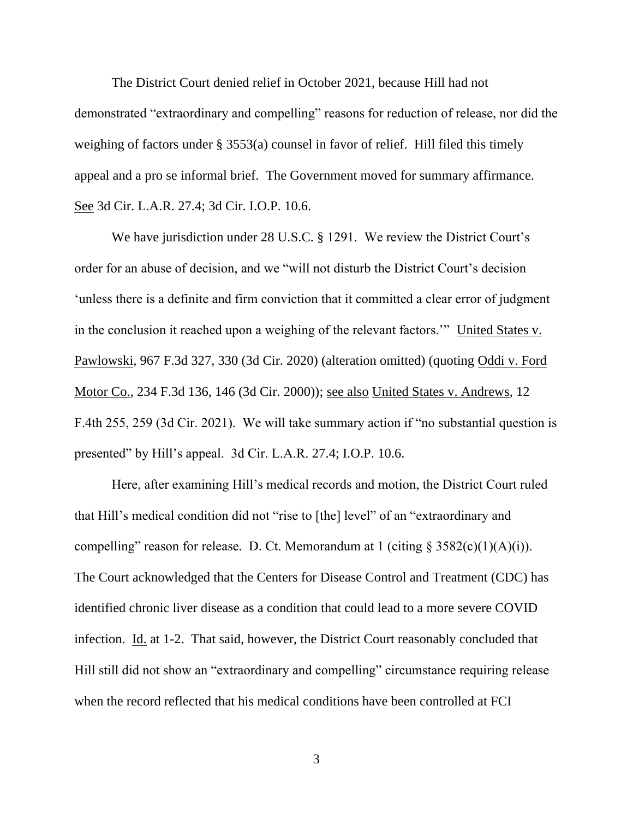The District Court denied relief in October 2021, because Hill had not demonstrated "extraordinary and compelling" reasons for reduction of release, nor did the weighing of factors under § 3553(a) counsel in favor of relief. Hill filed this timely appeal and a pro se informal brief. The Government moved for summary affirmance. See 3d Cir. L.A.R. 27.4; 3d Cir. I.O.P. 10.6.

We have jurisdiction under 28 U.S.C. § 1291. We review the District Court's order for an abuse of decision, and we "will not disturb the District Court's decision 'unless there is a definite and firm conviction that it committed a clear error of judgment in the conclusion it reached upon a weighing of the relevant factors.'" United States v. Pawlowski, 967 F.3d 327, 330 (3d Cir. 2020) (alteration omitted) (quoting Oddi v. Ford Motor Co., 234 F.3d 136, 146 (3d Cir. 2000)); see also United States v. Andrews, 12 F.4th 255, 259 (3d Cir. 2021). We will take summary action if "no substantial question is presented" by Hill's appeal. 3d Cir. L.A.R. 27.4; I.O.P. 10.6.

Here, after examining Hill's medical records and motion, the District Court ruled that Hill's medical condition did not "rise to [the] level" of an "extraordinary and compelling" reason for release. D. Ct. Memorandum at 1 (citing  $\S$  3582(c)(1)(A)(i)). The Court acknowledged that the Centers for Disease Control and Treatment (CDC) has identified chronic liver disease as a condition that could lead to a more severe COVID infection. Id. at 1-2. That said, however, the District Court reasonably concluded that Hill still did not show an "extraordinary and compelling" circumstance requiring release when the record reflected that his medical conditions have been controlled at FCI

3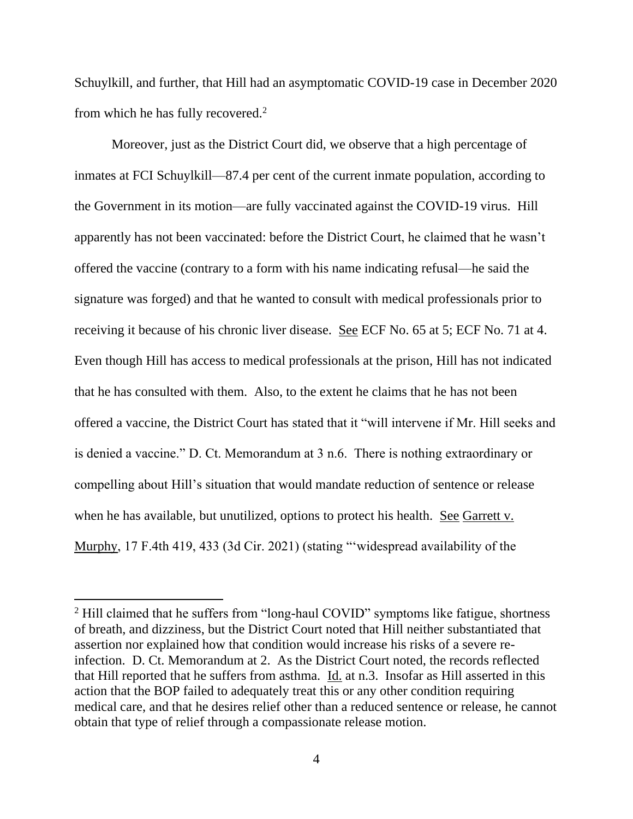Schuylkill, and further, that Hill had an asymptomatic COVID-19 case in December 2020 from which he has fully recovered. $2$ 

Moreover, just as the District Court did, we observe that a high percentage of inmates at FCI Schuylkill—87.4 per cent of the current inmate population, according to the Government in its motion—are fully vaccinated against the COVID-19 virus. Hill apparently has not been vaccinated: before the District Court, he claimed that he wasn't offered the vaccine (contrary to a form with his name indicating refusal—he said the signature was forged) and that he wanted to consult with medical professionals prior to receiving it because of his chronic liver disease. See ECF No. 65 at 5; ECF No. 71 at 4. Even though Hill has access to medical professionals at the prison, Hill has not indicated that he has consulted with them. Also, to the extent he claims that he has not been offered a vaccine, the District Court has stated that it "will intervene if Mr. Hill seeks and is denied a vaccine." D. Ct. Memorandum at 3 n.6. There is nothing extraordinary or compelling about Hill's situation that would mandate reduction of sentence or release when he has available, but unutilized, options to protect his health. See Garrett v. Murphy, 17 F.4th 419, 433 (3d Cir. 2021) (stating "'widespread availability of the

<sup>&</sup>lt;sup>2</sup> Hill claimed that he suffers from "long-haul COVID" symptoms like fatigue, shortness of breath, and dizziness, but the District Court noted that Hill neither substantiated that assertion nor explained how that condition would increase his risks of a severe reinfection. D. Ct. Memorandum at 2. As the District Court noted, the records reflected that Hill reported that he suffers from asthma.  $\underline{Id}$  at n.3. Insofar as Hill asserted in this action that the BOP failed to adequately treat this or any other condition requiring medical care, and that he desires relief other than a reduced sentence or release, he cannot obtain that type of relief through a compassionate release motion.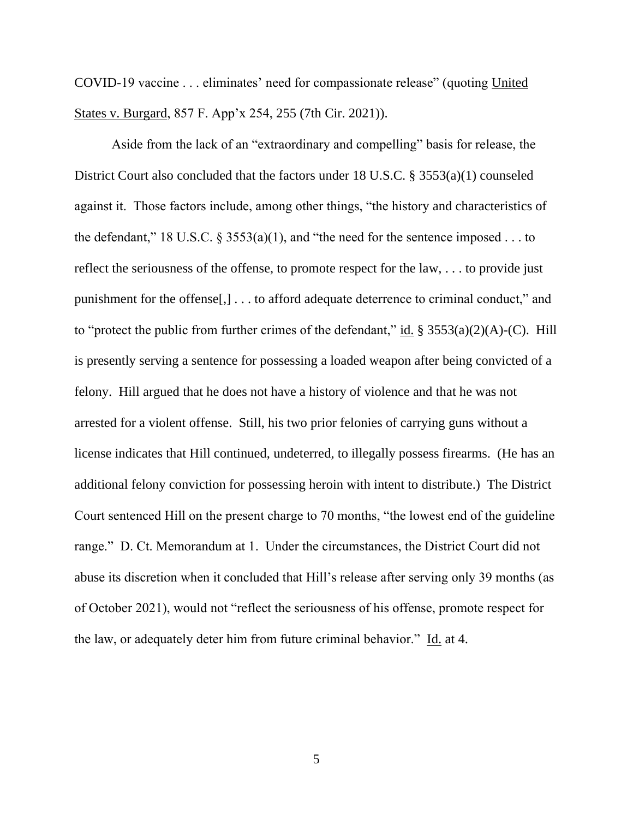COVID-19 vaccine . . . eliminates' need for compassionate release" (quoting United States v. Burgard, 857 F. App'x 254, 255 (7th Cir. 2021)).

Aside from the lack of an "extraordinary and compelling" basis for release, the District Court also concluded that the factors under 18 U.S.C. § 3553(a)(1) counseled against it. Those factors include, among other things, "the history and characteristics of the defendant," 18 U.S.C.  $\S$  3553(a)(1), and "the need for the sentence imposed . . . to reflect the seriousness of the offense, to promote respect for the law, . . . to provide just punishment for the offense[,] . . . to afford adequate deterrence to criminal conduct," and to "protect the public from further crimes of the defendant," id.  $\S 3553(a)(2)(A)-(C)$ . Hill is presently serving a sentence for possessing a loaded weapon after being convicted of a felony. Hill argued that he does not have a history of violence and that he was not arrested for a violent offense. Still, his two prior felonies of carrying guns without a license indicates that Hill continued, undeterred, to illegally possess firearms. (He has an additional felony conviction for possessing heroin with intent to distribute.) The District Court sentenced Hill on the present charge to 70 months, "the lowest end of the guideline range." D. Ct. Memorandum at 1. Under the circumstances, the District Court did not abuse its discretion when it concluded that Hill's release after serving only 39 months (as of October 2021), would not "reflect the seriousness of his offense, promote respect for the law, or adequately deter him from future criminal behavior." Id. at 4.

5